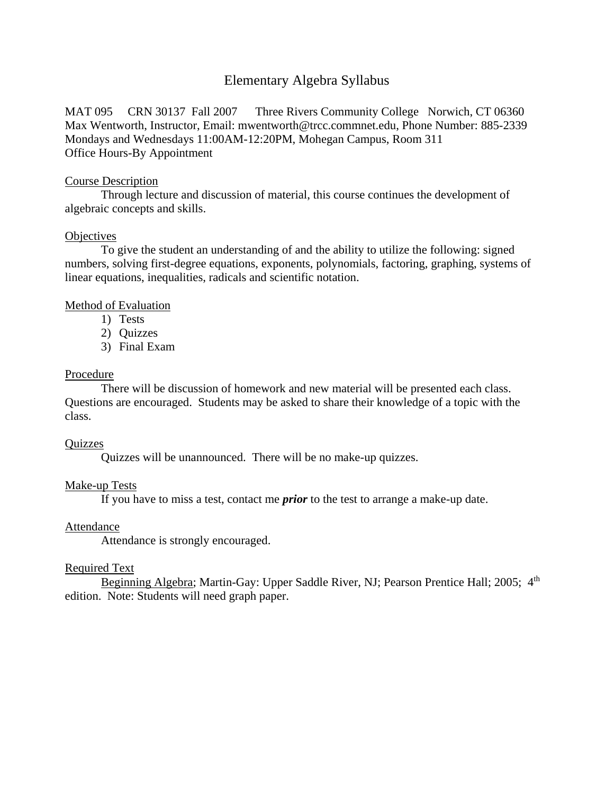# Elementary Algebra Syllabus

MAT 095 CRN 30137 Fall 2007 Three Rivers Community College Norwich, CT 06360 Max Wentworth, Instructor, Email: [mwentworth@trcc.commnet.edu,](mailto:mwentworth@trcc.commnet.edu) Phone Number: 885-2339 Mondays and Wednesdays 11:00AM-12:20PM, Mohegan Campus, Room 311 Office Hours-By Appointment

### Course Description

Through lecture and discussion of material, this course continues the development of algebraic concepts and skills.

### **Objectives**

To give the student an understanding of and the ability to utilize the following: signed numbers, solving first-degree equations, exponents, polynomials, factoring, graphing, systems of linear equations, inequalities, radicals and scientific notation.

# Method of Evaluation

- 1) Tests
- 2) Quizzes
- 3) Final Exam

### Procedure

There will be discussion of homework and new material will be presented each class. Questions are encouraged. Students may be asked to share their knowledge of a topic with the class.

#### **Ouizzes**

Quizzes will be unannounced. There will be no make-up quizzes.

# Make-up Tests

If you have to miss a test, contact me *prior* to the test to arrange a make-up date.

# Attendance

Attendance is strongly encouraged.

# Required Text

Beginning Algebra; Martin-Gay: Upper Saddle River, NJ; Pearson Prentice Hall; 2005; 4<sup>th</sup> edition. Note: Students will need graph paper.